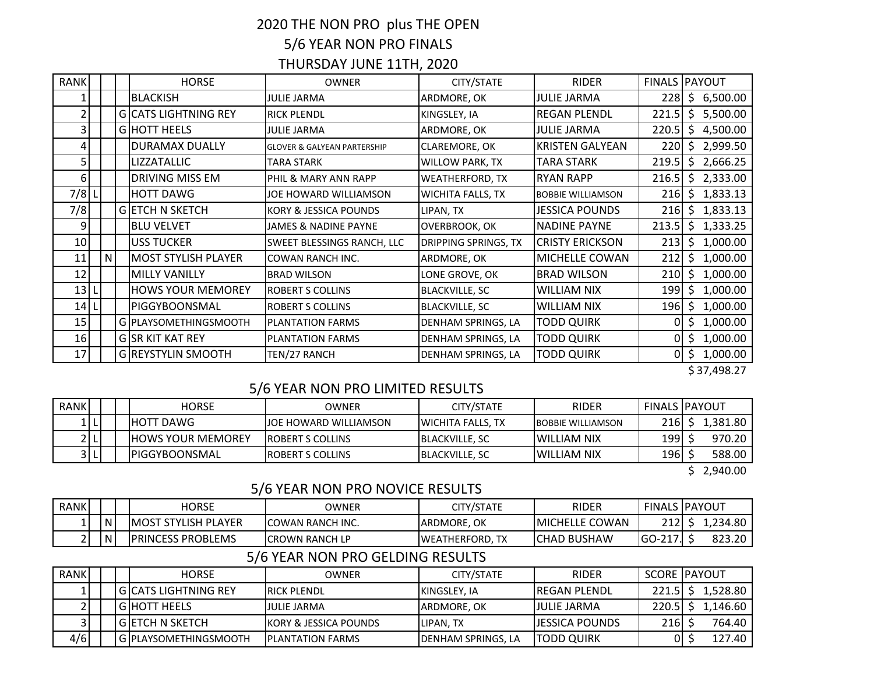# 2020 THE NON PRO plus THE OPEN 5/6 YEAR NON PRO FINALS

## THURSDAY JUNE 11TH, 2020

| <b>RANK</b>     |   | <b>HORSE</b>                | <b>OWNER</b>                           | CITY/STATE                  | <b>RIDER</b>             | FINALS PAYOUT |        |            |
|-----------------|---|-----------------------------|----------------------------------------|-----------------------------|--------------------------|---------------|--------|------------|
|                 |   | <b>BLACKISH</b>             | JULIE JARMA                            | ARDMORE, OK                 | <b>JULIE JARMA</b>       | 228           |        | \$6,500.00 |
|                 |   | <b>GICATS LIGHTNING REY</b> | <b>RICK PLENDL</b>                     | KINGSLEY, IA                | <b>REGAN PLENDL</b>      | 221.5         | Ś.     | 5,500.00   |
|                 |   | <b>GIHOTT HEELS</b>         | JULIE JARMA                            | ARDMORE, OK                 | <b>JULIE JARMA</b>       | 220.5         |        | \$4,500.00 |
| 4               |   | <b>DURAMAX DUALLY</b>       | <b>GLOVER &amp; GALYEAN PARTERSHIP</b> | <b>CLAREMORE, OK</b>        | <b>KRISTEN GALYEAN</b>   | 220I          |        | \$2,999.50 |
|                 |   | LIZZATALLIC                 | TARA STARK                             | <b>WILLOW PARK, TX</b>      | TARA STARK               | 219.5         |        | \$2,666.25 |
| 6               |   | DRIVING MISS EM             | PHIL & MARY ANN RAPP                   | <b>WEATHERFORD, TX</b>      | <b>RYAN RAPP</b>         | 216.5         |        | \$2,333.00 |
| 7/8             |   | <b>HOTT DAWG</b>            | JOE HOWARD WILLIAMSON                  | <b>WICHITA FALLS, TX</b>    | <b>BOBBIE WILLIAMSON</b> | 216           |        | \$1,833.13 |
| 7/8             |   | <b>GETCH N SKETCH</b>       | KORY & JESSICA POUNDS                  | LIPAN, TX                   | <b>JESSICA POUNDS</b>    | 216           | Ŝ.     | 1,833.13   |
| 9               |   | <b>BLU VELVET</b>           | JAMES & NADINE PAYNE                   | OVERBROOK, OK               | <b>NADINE PAYNE</b>      | 213.5         |        | \$1,333.25 |
| 10 <sub>l</sub> |   | <b>USS TUCKER</b>           | SWEET BLESSINGS RANCH, LLC             | <b>DRIPPING SPRINGS, TX</b> | <b>CRISTY ERICKSON</b>   | 213           | S.     | 1,000.00   |
| 11              | N | <b>MOST STYLISH PLAYER</b>  | <b>COWAN RANCH INC.</b>                | ARDMORE, OK                 | MICHELLE COWAN           | 212           | Ś.     | 1,000.00   |
| 12              |   | <b>MILLY VANILLY</b>        | <b>BRAD WILSON</b>                     | LONE GROVE, OK              | <b>BRAD WILSON</b>       | 210           | S.     | 1,000.00   |
| 13              |   | <b>HOWS YOUR MEMOREY</b>    | <b>ROBERT S COLLINS</b>                | <b>BLACKVILLE, SC</b>       | WILLIAM NIX              | 199           | S.     | 1,000.00   |
| 14              |   | PIGGYBOONSMAL               | <b>ROBERT S COLLINS</b>                | <b>BLACKVILLE, SC</b>       | <b>WILLIAM NIX</b>       | 196 I         | $.5 -$ | 1,000.00   |
| 15 <sub>l</sub> |   | G PLAYSOMETHINGSMOOTH       | <b>PLANTATION FARMS</b>                | DENHAM SPRINGS, LA          | TODD QUIRK               | 0             | . \$   | 1,000.00   |
| 16              |   | <b>GISR KIT KAT REY</b>     | <b>PLANTATION FARMS</b>                | DENHAM SPRINGS, LA          | TODD QUIRK               | 01            |        | \$1,000.00 |
| 17              |   | <b>G REYSTYLIN SMOOTH</b>   | TEN/27 RANCH                           | DENHAM SPRINGS, LA          | <b>TODD QUIRK</b>        | 01            |        | \$1,000.00 |

\$ 37,498.27

### 5/6 YEAR NON PRO LIMITED RESULTS

| <b>RANK</b> |  | <b>HORSE</b>              | <b>OWNER</b>                  | CITY/STATE                | <b>RIDER</b>             | <b>FINALS IPAYOUT</b> |         |
|-------------|--|---------------------------|-------------------------------|---------------------------|--------------------------|-----------------------|---------|
| 1   L       |  | <b>HOTT DAWG</b>          | <b>IJOE HOWARD WILLIAMSON</b> | <b>IWICHITA FALLS, TX</b> | <b>BOBBIE WILLIAMSON</b> | 216                   | .381.80 |
| 2 L         |  | <b>IHOWS YOUR MEMOREY</b> | <b>IROBERT S COLLINS</b>      | <b>IBLACKVILLE, SC</b>    | IWILLIAM NIX             | 199                   | 970.20  |
| 3 L         |  | IPIGGYBOONSMAL            | <b>IROBERT S COLLINS</b>      | <b>IBLACKVILLE, SC</b>    | IWILLIAM NIX             | 196                   | 588.00  |

\$ 2,940.00

#### 5/6 YEAR NON PRO NOVICE RESULTS

| <b>RANK</b> |              | HORSE                    | OWNER                    | CITY/STATE          | <b>RIDER</b>          |            | <b>FINALS IPAYOUT</b> |
|-------------|--------------|--------------------------|--------------------------|---------------------|-----------------------|------------|-----------------------|
|             | $\mathsf{N}$ | IMOST STYLISH PLAYER     | <b>ICOWAN RANCH INC.</b> | <b>JARDMORE, OK</b> | <b>MICHELLE COWAN</b> | 212<br>∠⊥∠ | .234.80               |
|             | l N          | <b>PRINCESS PROBLEMS</b> | <b>ICROWN RANCH LP</b>   | IWEATHERFORD.       | <b>I</b> CHAD BUSHAW  | GO-217     | 823.20                |

## 5/6 YEAR NON PRO GELDING RESULTS

| <b>RANK</b> |  | <b>HORSE</b>            | OWNER                             | CITY/STATE                 | <b>RIDER</b>           |       | <b>SCORE IPAYOUT</b> |
|-------------|--|-------------------------|-----------------------------------|----------------------------|------------------------|-------|----------------------|
|             |  | l GICATS LIGHTNING REY  | <b>IRICK PLENDL</b>               | KINGSLEY, IA               | <b>IREGAN PLENDL</b>   |       | 1,528.80             |
|             |  | <b>GIHOTT HEELS</b>     | JULIE JARMA                       | <b>JARDMORE, OK</b>        | IJULIE JARMA           | 220.5 | 1,146.60             |
|             |  | l GIETCH N SKETCH       | <b>IKORY &amp; JESSICA POUNDS</b> | <b>ILIPAN. TX</b>          | <b>IJESSICA POUNDS</b> | 216   | 764.40               |
| 4/6         |  | l GIPLAYSOMETHINGSMOOTH | <b>IPLANTATION FARMS</b>          | <b>IDENHAM SPRINGS, LA</b> | <b>ITODD QUIRK</b>     |       | 127.40 I             |